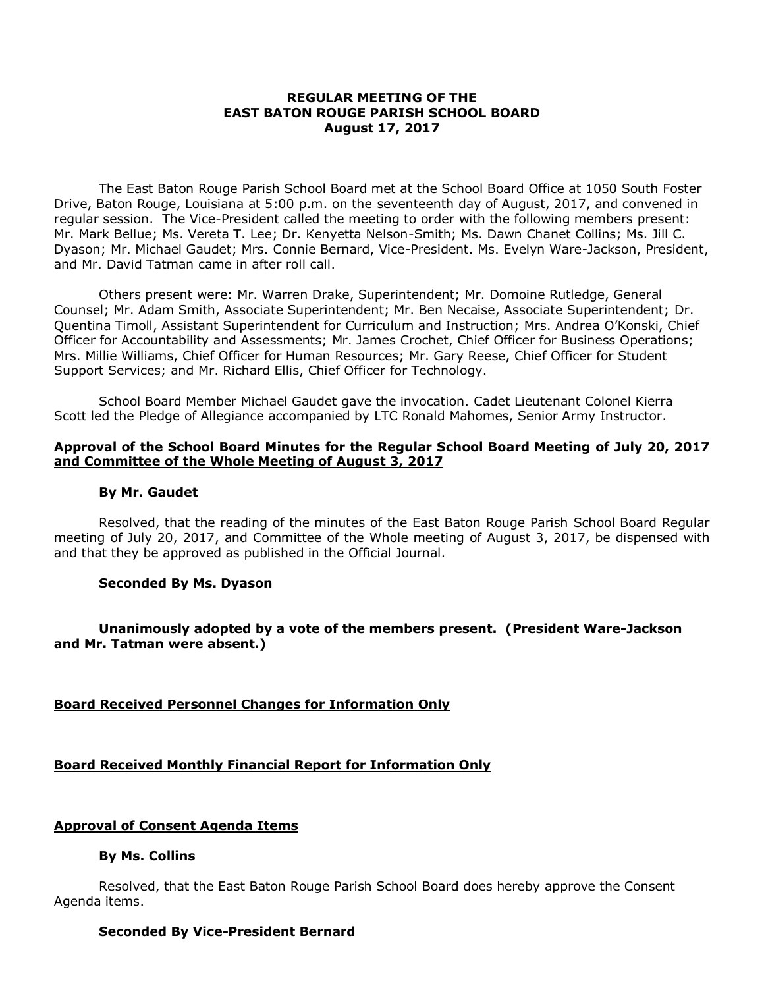# **REGULAR MEETING OF THE EAST BATON ROUGE PARISH SCHOOL BOARD August 17, 2017**

The East Baton Rouge Parish School Board met at the School Board Office at 1050 South Foster Drive, Baton Rouge, Louisiana at 5:00 p.m. on the seventeenth day of August, 2017, and convened in regular session. The Vice-President called the meeting to order with the following members present: Mr. Mark Bellue; Ms. Vereta T. Lee; Dr. Kenyetta Nelson-Smith; Ms. Dawn Chanet Collins; Ms. Jill C. Dyason; Mr. Michael Gaudet; Mrs. Connie Bernard, Vice-President. Ms. Evelyn Ware-Jackson, President, and Mr. David Tatman came in after roll call.

Others present were: Mr. Warren Drake, Superintendent; Mr. Domoine Rutledge, General Counsel; Mr. Adam Smith, Associate Superintendent; Mr. Ben Necaise, Associate Superintendent; Dr. Quentina Timoll, Assistant Superintendent for Curriculum and Instruction; Mrs. Andrea O'Konski, Chief Officer for Accountability and Assessments; Mr. James Crochet, Chief Officer for Business Operations; Mrs. Millie Williams, Chief Officer for Human Resources; Mr. Gary Reese, Chief Officer for Student Support Services; and Mr. Richard Ellis, Chief Officer for Technology.

School Board Member Michael Gaudet gave the invocation. Cadet Lieutenant Colonel Kierra Scott led the Pledge of Allegiance accompanied by LTC Ronald Mahomes, Senior Army Instructor.

### **Approval of the School Board Minutes for the Regular School Board Meeting of July 20, 2017 and Committee of the Whole Meeting of August 3, 2017**

### **By Mr. Gaudet**

Resolved, that the reading of the minutes of the East Baton Rouge Parish School Board Regular meeting of July 20, 2017, and Committee of the Whole meeting of August 3, 2017, be dispensed with and that they be approved as published in the Official Journal.

#### **Seconded By Ms. Dyason**

# **Unanimously adopted by a vote of the members present. (President Ware-Jackson and Mr. Tatman were absent.)**

# **Board Received Personnel Changes for Information Only**

# **Board Received Monthly Financial Report for Information Only**

# **Approval of Consent Agenda Items**

#### **By Ms. Collins**

Resolved, that the East Baton Rouge Parish School Board does hereby approve the Consent Agenda items.

#### **Seconded By Vice-President Bernard**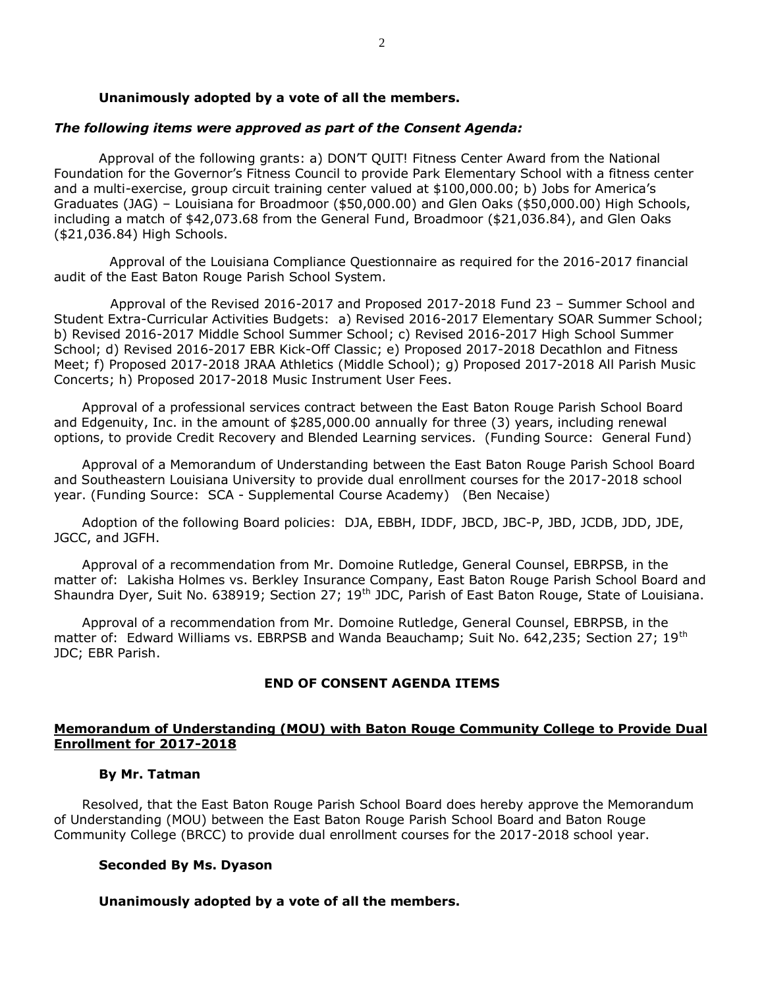### **Unanimously adopted by a vote of all the members.**

### *The following items were approved as part of the Consent Agenda:*

Approval of the following grants: a) DON'T QUIT! Fitness Center Award from the National Foundation for the Governor's Fitness Council to provide Park Elementary School with a fitness center and a multi-exercise, group circuit training center valued at \$100,000.00; b) Jobs for America's Graduates (JAG) – Louisiana for Broadmoor (\$50,000.00) and Glen Oaks (\$50,000.00) High Schools, including a match of \$42,073.68 from the General Fund, Broadmoor (\$21,036.84), and Glen Oaks (\$21,036.84) High Schools.

Approval of the Louisiana Compliance Questionnaire as required for the 2016-2017 financial audit of the East Baton Rouge Parish School System.

Approval of the Revised 2016-2017 and Proposed 2017-2018 Fund 23 – Summer School and Student Extra-Curricular Activities Budgets: a) Revised 2016-2017 Elementary SOAR Summer School; b) Revised 2016-2017 Middle School Summer School; c) Revised 2016-2017 High School Summer School; d) Revised 2016-2017 EBR Kick-Off Classic; e) Proposed 2017-2018 Decathlon and Fitness Meet; f) Proposed 2017-2018 JRAA Athletics (Middle School); g) Proposed 2017-2018 All Parish Music Concerts; h) Proposed 2017-2018 Music Instrument User Fees.

Approval of a professional services contract between the East Baton Rouge Parish School Board and Edgenuity, Inc. in the amount of \$285,000.00 annually for three (3) years, including renewal options, to provide Credit Recovery and Blended Learning services. (Funding Source: General Fund)

Approval of a Memorandum of Understanding between the East Baton Rouge Parish School Board and Southeastern Louisiana University to provide dual enrollment courses for the 2017-2018 school year. (Funding Source: SCA - Supplemental Course Academy) (Ben Necaise)

Adoption of the following Board policies: DJA, EBBH, IDDF, JBCD, JBC-P, JBD, JCDB, JDD, JDE, JGCC, and JGFH.

Approval of a recommendation from Mr. Domoine Rutledge, General Counsel, EBRPSB, in the matter of: Lakisha Holmes vs. Berkley Insurance Company, East Baton Rouge Parish School Board and Shaundra Dyer, Suit No. 638919; Section 27; 19<sup>th</sup> JDC, Parish of East Baton Rouge, State of Louisiana.

Approval of a recommendation from Mr. Domoine Rutledge, General Counsel, EBRPSB, in the matter of: Edward Williams vs. EBRPSB and Wanda Beauchamp; Suit No. 642,235; Section 27; 19th JDC; EBR Parish.

# **END OF CONSENT AGENDA ITEMS**

### **Memorandum of Understanding (MOU) with Baton Rouge Community College to Provide Dual Enrollment for 2017-2018**

#### **By Mr. Tatman**

Resolved, that the East Baton Rouge Parish School Board does hereby approve the Memorandum of Understanding (MOU) between the East Baton Rouge Parish School Board and Baton Rouge Community College (BRCC) to provide dual enrollment courses for the 2017-2018 school year.

#### **Seconded By Ms. Dyason**

**Unanimously adopted by a vote of all the members.**